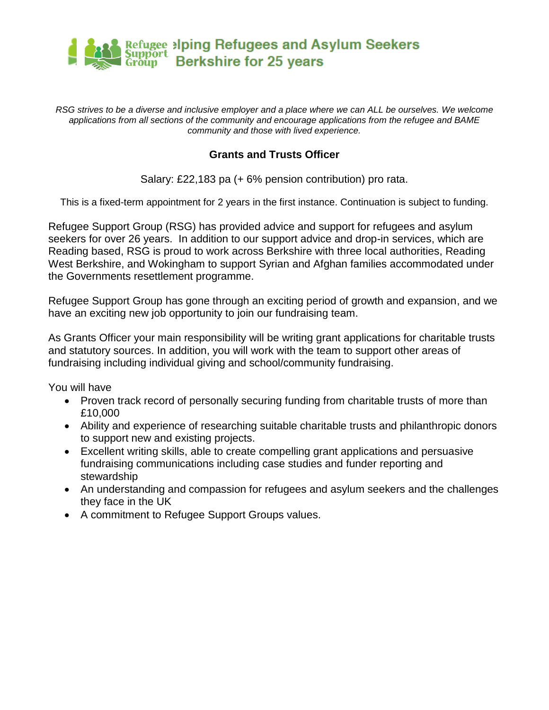

*RSG strives to be a diverse and inclusive employer and a place where we can ALL be ourselves. We welcome applications from all sections of the community and encourage applications from the refugee and BAME community and those with lived experience.*

#### **Grants and Trusts Officer**

Salary: £22,183 pa (+ 6% pension contribution) pro rata.

This is a fixed-term appointment for 2 years in the first instance. Continuation is subject to funding.

Refugee Support Group (RSG) has provided advice and support for refugees and asylum seekers for over 26 years. In addition to our support advice and drop-in services, which are Reading based, RSG is proud to work across Berkshire with three local authorities, Reading West Berkshire, and Wokingham to support Syrian and Afghan families accommodated under the Governments resettlement programme.

Refugee Support Group has gone through an exciting period of growth and expansion, and we have an exciting new job opportunity to join our fundraising team.

As Grants Officer your main responsibility will be writing grant applications for charitable trusts and statutory sources. In addition, you will work with the team to support other areas of fundraising including individual giving and school/community fundraising.

You will have

- Proven track record of personally securing funding from charitable trusts of more than £10,000
- Ability and experience of researching suitable charitable trusts and philanthropic donors to support new and existing projects.
- Excellent writing skills, able to create compelling grant applications and persuasive fundraising communications including case studies and funder reporting and stewardship
- An understanding and compassion for refugees and asylum seekers and the challenges they face in the UK
- A commitment to Refugee Support Groups values.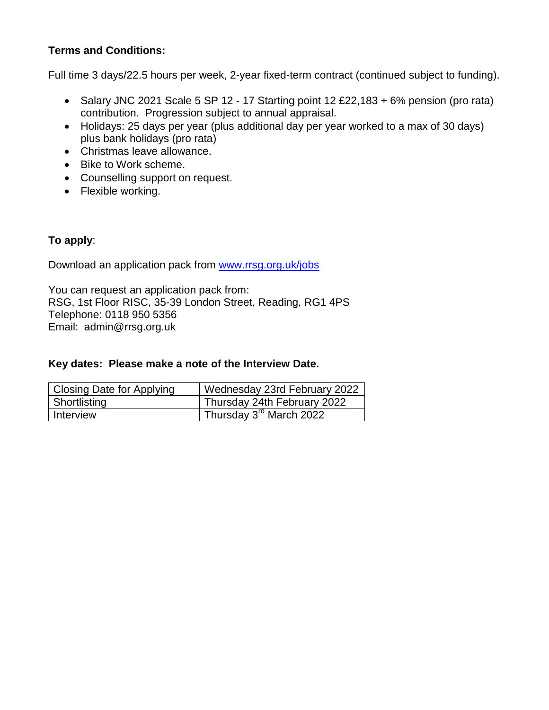## **Terms and Conditions:**

Full time 3 days/22.5 hours per week, 2-year fixed-term contract (continued subject to funding).

- Salary JNC 2021 Scale 5 SP 12 17 Starting point 12 £22,183 + 6% pension (pro rata) contribution. Progression subject to annual appraisal.
- Holidays: 25 days per year (plus additional day per year worked to a max of 30 days) plus bank holidays (pro rata)
- Christmas leave allowance.
- Bike to Work scheme.
- Counselling support on request.
- Flexible working.

## **To apply**:

Download an application pack from [www.rrsg.org.uk/jobs](http://www.rrsg.org.uk/jobs)

You can request an application pack from: RSG, 1st Floor RISC, 35-39 London Street, Reading, RG1 4PS Telephone: 0118 950 5356 Email: admin@rrsg.org.uk

#### **Key dates: Please make a note of the Interview Date.**

| <b>Closing Date for Applying</b> | Wednesday 23rd February 2022                     |
|----------------------------------|--------------------------------------------------|
| Shortlisting                     | Thursday 24th February 2022                      |
| Interview                        | <sup>1</sup> Thursday 3 <sup>rd</sup> March 2022 |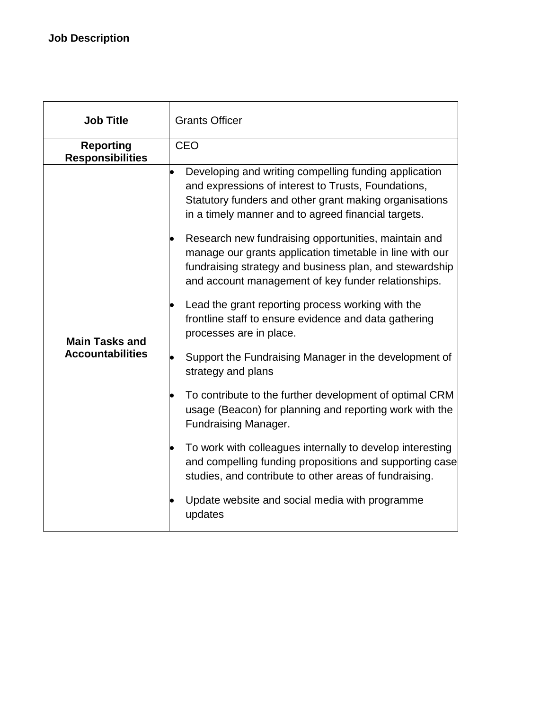| <b>Job Title</b>                                 | <b>Grants Officer</b>                                                                                                                                                                                                                                                                                                                                                                                                                                                                                                                                                                                                                                                                                                                                                                                                                                                                                                                                                                                                                                                                                        |  |
|--------------------------------------------------|--------------------------------------------------------------------------------------------------------------------------------------------------------------------------------------------------------------------------------------------------------------------------------------------------------------------------------------------------------------------------------------------------------------------------------------------------------------------------------------------------------------------------------------------------------------------------------------------------------------------------------------------------------------------------------------------------------------------------------------------------------------------------------------------------------------------------------------------------------------------------------------------------------------------------------------------------------------------------------------------------------------------------------------------------------------------------------------------------------------|--|
| <b>Reporting</b><br><b>Responsibilities</b>      | <b>CEO</b>                                                                                                                                                                                                                                                                                                                                                                                                                                                                                                                                                                                                                                                                                                                                                                                                                                                                                                                                                                                                                                                                                                   |  |
| <b>Main Tasks and</b><br><b>Accountabilities</b> | Developing and writing compelling funding application<br>$\bullet$<br>and expressions of interest to Trusts, Foundations,<br>Statutory funders and other grant making organisations<br>in a timely manner and to agreed financial targets.<br>Research new fundraising opportunities, maintain and<br>manage our grants application timetable in line with our<br>fundraising strategy and business plan, and stewardship<br>and account management of key funder relationships.<br>Lead the grant reporting process working with the<br>frontline staff to ensure evidence and data gathering<br>processes are in place.<br>Support the Fundraising Manager in the development of<br>strategy and plans<br>To contribute to the further development of optimal CRM<br>usage (Beacon) for planning and reporting work with the<br><b>Fundraising Manager.</b><br>To work with colleagues internally to develop interesting<br>and compelling funding propositions and supporting case<br>studies, and contribute to other areas of fundraising.<br>Update website and social media with programme<br>updates |  |